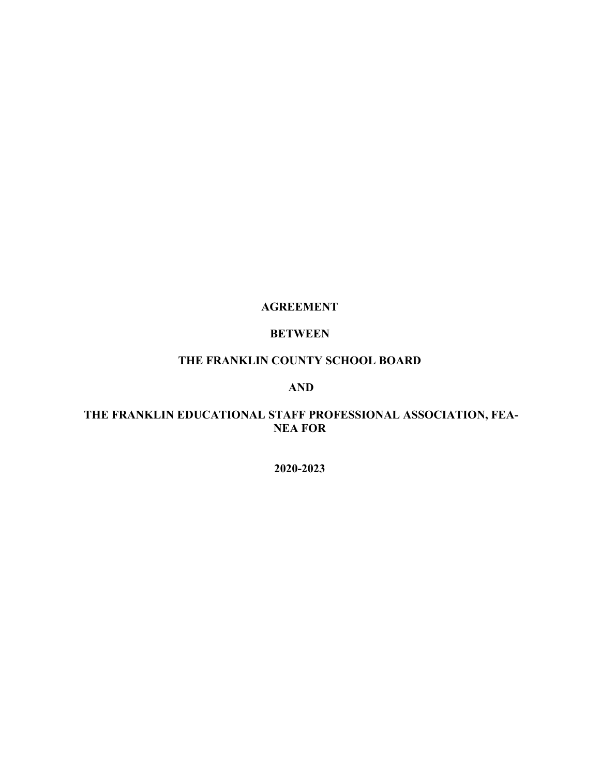#### **AGREEMENT**

# **BETWEEN**

# **THE FRANKLIN COUNTY SCHOOL BOARD**

### **AND**

# **THE FRANKLIN EDUCATIONAL STAFF PROFESSIONAL ASSOCIATION, FEA-NEA FOR**

**2020-2023**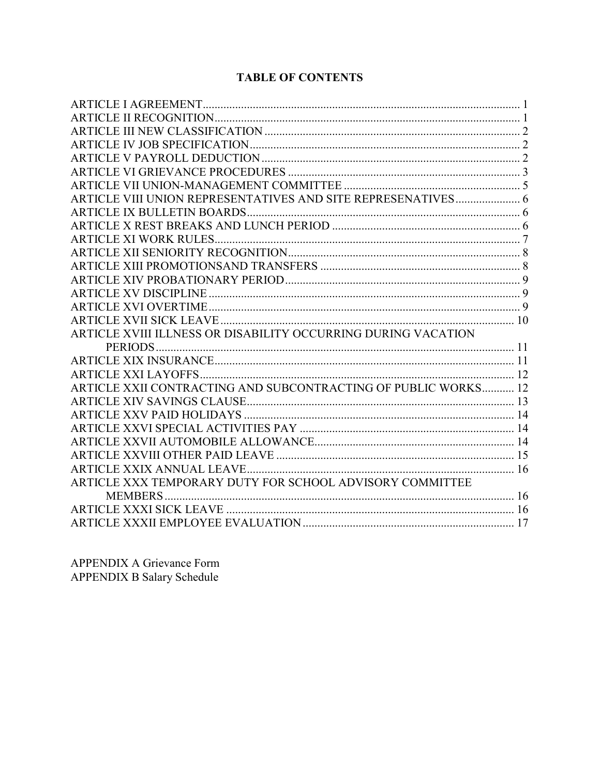# **TABLE OF CONTENTS**

| ARTICLE XVIII ILLNESS OR DISABILITY OCCURRING DURING VACATION  |  |
|----------------------------------------------------------------|--|
|                                                                |  |
|                                                                |  |
|                                                                |  |
| ARTICLE XXII CONTRACTING AND SUBCONTRACTING OF PUBLIC WORKS 12 |  |
|                                                                |  |
|                                                                |  |
|                                                                |  |
|                                                                |  |
|                                                                |  |
|                                                                |  |
| ARTICLE XXX TEMPORARY DUTY FOR SCHOOL ADVISORY COMMITTEE       |  |
|                                                                |  |
|                                                                |  |
|                                                                |  |
|                                                                |  |

APPENDIX A Grievance Form APPENDIX B Salary Schedule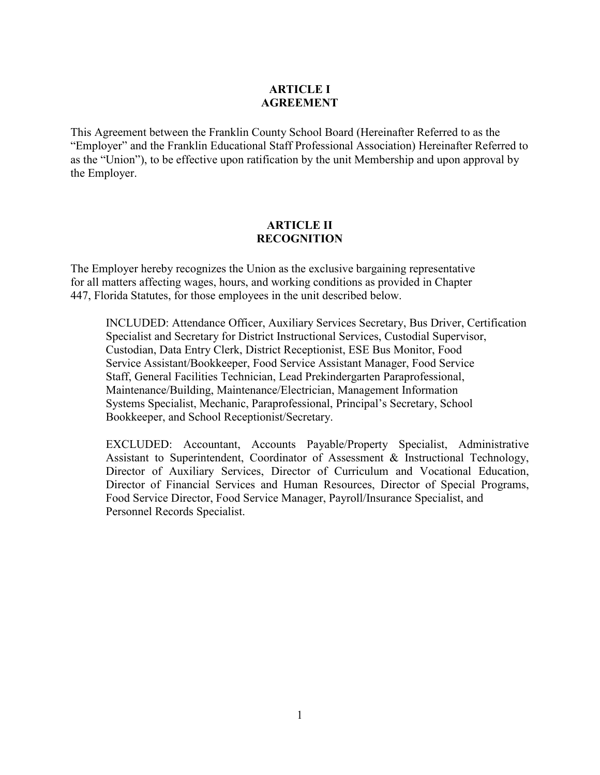#### **ARTICLE I AGREEMENT**

This Agreement between the Franklin County School Board (Hereinafter Referred to as the "Employer" and the Franklin Educational Staff Professional Association) Hereinafter Referred to as the "Union"), to be effective upon ratification by the unit Membership and upon approval by the Employer.

#### **ARTICLE II RECOGNITION**

The Employer hereby recognizes the Union as the exclusive bargaining representative for all matters affecting wages, hours, and working conditions as provided in Chapter 447, Florida Statutes, for those employees in the unit described below.

 INCLUDED: Attendance Officer, Auxiliary Services Secretary, Bus Driver, Certification Specialist and Secretary for District Instructional Services, Custodial Supervisor, Custodian, Data Entry Clerk, District Receptionist, ESE Bus Monitor, Food Service Assistant/Bookkeeper, Food Service Assistant Manager, Food Service Staff, General Facilities Technician, Lead Prekindergarten Paraprofessional, Maintenance/Building, Maintenance/Electrician, Management Information Systems Specialist, Mechanic, Paraprofessional, Principal's Secretary, School Bookkeeper, and School Receptionist/Secretary.

EXCLUDED: Accountant, Accounts Payable/Property Specialist, Administrative Assistant to Superintendent, Coordinator of Assessment & Instructional Technology, Director of Auxiliary Services, Director of Curriculum and Vocational Education, Director of Financial Services and Human Resources, Director of Special Programs, Food Service Director, Food Service Manager, Payroll/Insurance Specialist, and Personnel Records Specialist.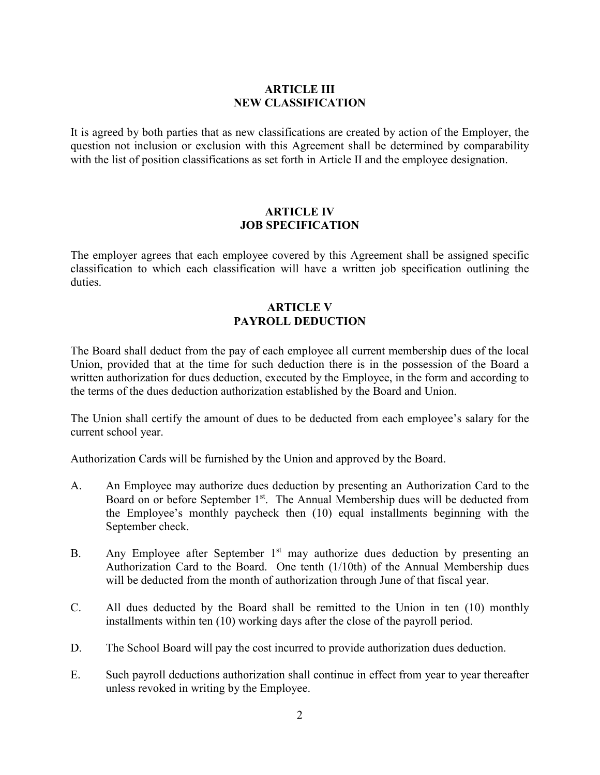#### **ARTICLE III NEW CLASSIFICATION**

It is agreed by both parties that as new classifications are created by action of the Employer, the question not inclusion or exclusion with this Agreement shall be determined by comparability with the list of position classifications as set forth in Article II and the employee designation.

#### **ARTICLE IV JOB SPECIFICATION**

The employer agrees that each employee covered by this Agreement shall be assigned specific classification to which each classification will have a written job specification outlining the duties.

# **ARTICLE V PAYROLL DEDUCTION**

The Board shall deduct from the pay of each employee all current membership dues of the local Union, provided that at the time for such deduction there is in the possession of the Board a written authorization for dues deduction, executed by the Employee, in the form and according to the terms of the dues deduction authorization established by the Board and Union.

The Union shall certify the amount of dues to be deducted from each employee's salary for the current school year.

Authorization Cards will be furnished by the Union and approved by the Board.

- A. An Employee may authorize dues deduction by presenting an Authorization Card to the Board on or before September 1<sup>st</sup>. The Annual Membership dues will be deducted from the Employee's monthly paycheck then (10) equal installments beginning with the September check.
- B. Any Employee after September  $1<sup>st</sup>$  may authorize dues deduction by presenting an Authorization Card to the Board. One tenth (1/10th) of the Annual Membership dues will be deducted from the month of authorization through June of that fiscal year.
- C. All dues deducted by the Board shall be remitted to the Union in ten (10) monthly installments within ten (10) working days after the close of the payroll period.
- D. The School Board will pay the cost incurred to provide authorization dues deduction.
- E. Such payroll deductions authorization shall continue in effect from year to year thereafter unless revoked in writing by the Employee.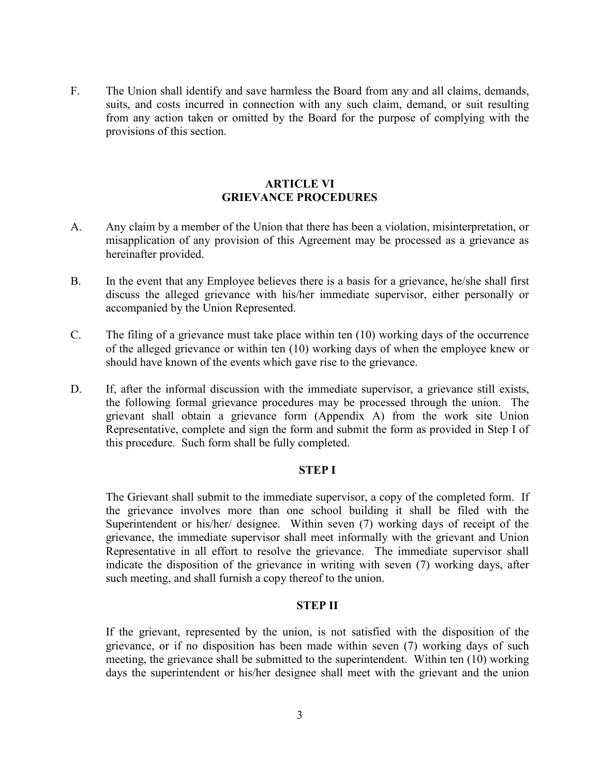F. The Union shall identify and save harmless the Board from any and all claims, demands, suits, and costs incurred in connection with any such claim, demand, or suit resulting from any action taken or omitted by the Board for the purpose of complying with the provisions of this section.

#### **ARTICLE VI GRIEVANCE PROCEDURES**

- A. Any claim by a member of the Union that there has been a violation, misinterpretation, or misapplication of any provision of this Agreement may be processed as a grievance as hereinafter provided.
- B. In the event that any Employee believes there is a basis for a grievance, he/she shall first discuss the alleged grievance with his/her immediate supervisor, either personally or accompanied by the Union Represented.
- C. The filing of a grievance must take place within ten (10) working days of the occurrence of the alleged grievance or within ten (10) working days of when the employee knew or should have known of the events which gave rise to the grievance.
- D. If, after the informal discussion with the immediate supervisor, a grievance still exists, the following formal grievance procedures may be processed through the union. The grievant shall obtain a grievance form (Appendix A) from the work site Union Representative, complete and sign the form and submit the form as provided in Step I of this procedure. Such form shall be fully completed.

#### **STEP I**

The Grievant shall submit to the immediate supervisor, a copy of the completed form. If the grievance involves more than one school building it shall be filed with the Superintendent or his/her/ designee. Within seven (7) working days of receipt of the grievance, the immediate supervisor shall meet informally with the grievant and Union Representative in all effort to resolve the grievance. The immediate supervisor shall indicate the disposition of the grievance in writing with seven (7) working days, after such meeting, and shall furnish a copy thereof to the union.

#### **STEP II**

If the grievant, represented by the union, is not satisfied with the disposition of the grievance, or if no disposition has been made within seven (7) working days of such meeting, the grievance shall be submitted to the superintendent. Within ten (10) working days the superintendent or his/her designee shall meet with the grievant and the union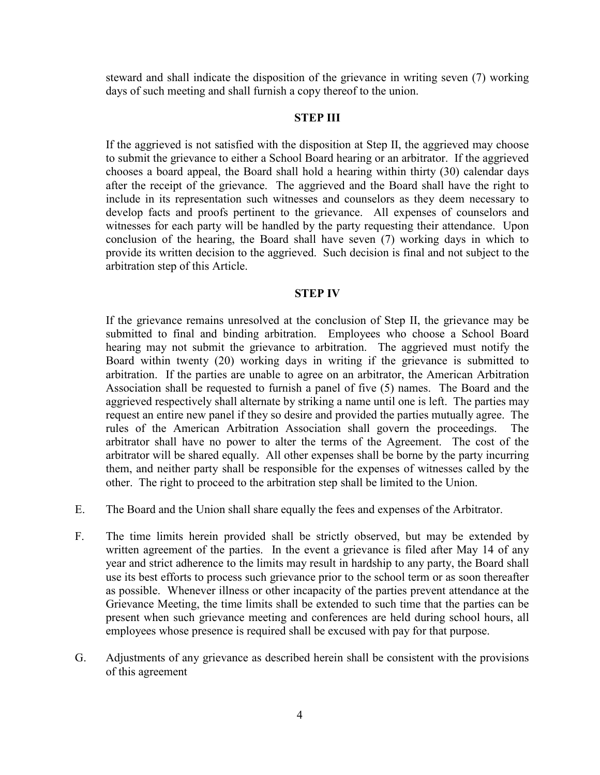steward and shall indicate the disposition of the grievance in writing seven (7) working days of such meeting and shall furnish a copy thereof to the union.

#### **STEP III**

If the aggrieved is not satisfied with the disposition at Step II, the aggrieved may choose to submit the grievance to either a School Board hearing or an arbitrator. If the aggrieved chooses a board appeal, the Board shall hold a hearing within thirty (30) calendar days after the receipt of the grievance. The aggrieved and the Board shall have the right to include in its representation such witnesses and counselors as they deem necessary to develop facts and proofs pertinent to the grievance. All expenses of counselors and witnesses for each party will be handled by the party requesting their attendance. Upon conclusion of the hearing, the Board shall have seven (7) working days in which to provide its written decision to the aggrieved. Such decision is final and not subject to the arbitration step of this Article.

#### **STEP IV**

If the grievance remains unresolved at the conclusion of Step II, the grievance may be submitted to final and binding arbitration. Employees who choose a School Board hearing may not submit the grievance to arbitration. The aggrieved must notify the Board within twenty (20) working days in writing if the grievance is submitted to arbitration. If the parties are unable to agree on an arbitrator, the American Arbitration Association shall be requested to furnish a panel of five (5) names. The Board and the aggrieved respectively shall alternate by striking a name until one is left. The parties may request an entire new panel if they so desire and provided the parties mutually agree. The rules of the American Arbitration Association shall govern the proceedings. The arbitrator shall have no power to alter the terms of the Agreement. The cost of the arbitrator will be shared equally. All other expenses shall be borne by the party incurring them, and neither party shall be responsible for the expenses of witnesses called by the other. The right to proceed to the arbitration step shall be limited to the Union.

- E. The Board and the Union shall share equally the fees and expenses of the Arbitrator.
- F. The time limits herein provided shall be strictly observed, but may be extended by written agreement of the parties. In the event a grievance is filed after May 14 of any year and strict adherence to the limits may result in hardship to any party, the Board shall use its best efforts to process such grievance prior to the school term or as soon thereafter as possible. Whenever illness or other incapacity of the parties prevent attendance at the Grievance Meeting, the time limits shall be extended to such time that the parties can be present when such grievance meeting and conferences are held during school hours, all employees whose presence is required shall be excused with pay for that purpose.
- G. Adjustments of any grievance as described herein shall be consistent with the provisions of this agreement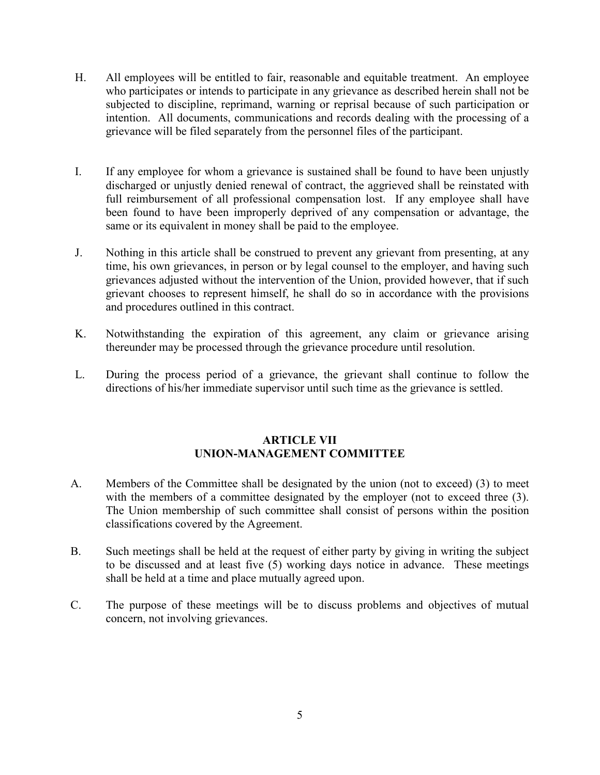- H. All employees will be entitled to fair, reasonable and equitable treatment. An employee who participates or intends to participate in any grievance as described herein shall not be subjected to discipline, reprimand, warning or reprisal because of such participation or intention. All documents, communications and records dealing with the processing of a grievance will be filed separately from the personnel files of the participant.
- I. If any employee for whom a grievance is sustained shall be found to have been unjustly discharged or unjustly denied renewal of contract, the aggrieved shall be reinstated with full reimbursement of all professional compensation lost. If any employee shall have been found to have been improperly deprived of any compensation or advantage, the same or its equivalent in money shall be paid to the employee.
- J. Nothing in this article shall be construed to prevent any grievant from presenting, at any time, his own grievances, in person or by legal counsel to the employer, and having such grievances adjusted without the intervention of the Union, provided however, that if such grievant chooses to represent himself, he shall do so in accordance with the provisions and procedures outlined in this contract.
- K. Notwithstanding the expiration of this agreement, any claim or grievance arising thereunder may be processed through the grievance procedure until resolution.
- L. During the process period of a grievance, the grievant shall continue to follow the directions of his/her immediate supervisor until such time as the grievance is settled.

#### **ARTICLE VII UNION-MANAGEMENT COMMITTEE**

- A. Members of the Committee shall be designated by the union (not to exceed) (3) to meet with the members of a committee designated by the employer (not to exceed three  $(3)$ . The Union membership of such committee shall consist of persons within the position classifications covered by the Agreement.
- B. Such meetings shall be held at the request of either party by giving in writing the subject to be discussed and at least five (5) working days notice in advance. These meetings shall be held at a time and place mutually agreed upon.
- C. The purpose of these meetings will be to discuss problems and objectives of mutual concern, not involving grievances.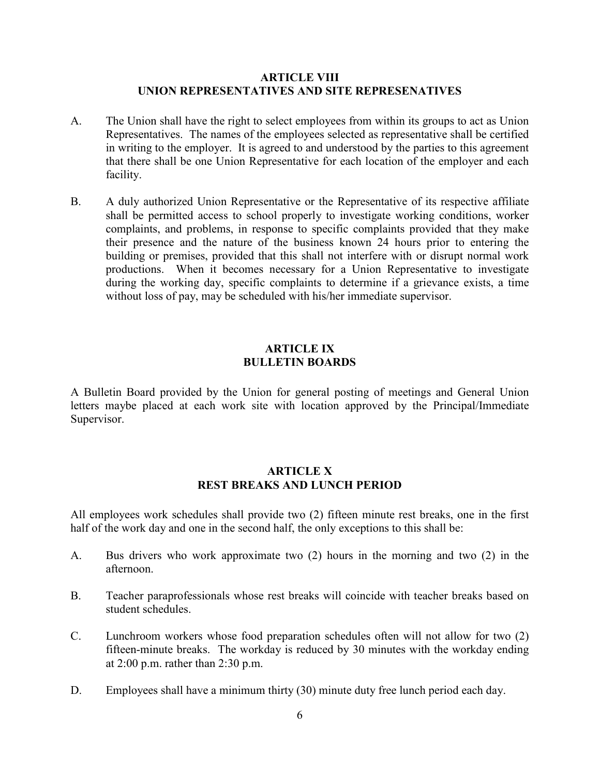#### **ARTICLE VIII UNION REPRESENTATIVES AND SITE REPRESENATIVES**

- A. The Union shall have the right to select employees from within its groups to act as Union Representatives. The names of the employees selected as representative shall be certified in writing to the employer. It is agreed to and understood by the parties to this agreement that there shall be one Union Representative for each location of the employer and each facility.
- B. A duly authorized Union Representative or the Representative of its respective affiliate shall be permitted access to school properly to investigate working conditions, worker complaints, and problems, in response to specific complaints provided that they make their presence and the nature of the business known 24 hours prior to entering the building or premises, provided that this shall not interfere with or disrupt normal work productions. When it becomes necessary for a Union Representative to investigate during the working day, specific complaints to determine if a grievance exists, a time without loss of pay, may be scheduled with his/her immediate supervisor.

#### **ARTICLE IX BULLETIN BOARDS**

A Bulletin Board provided by the Union for general posting of meetings and General Union letters maybe placed at each work site with location approved by the Principal/Immediate Supervisor.

#### **ARTICLE X REST BREAKS AND LUNCH PERIOD**

All employees work schedules shall provide two (2) fifteen minute rest breaks, one in the first half of the work day and one in the second half, the only exceptions to this shall be:

- A. Bus drivers who work approximate two (2) hours in the morning and two (2) in the afternoon.
- B. Teacher paraprofessionals whose rest breaks will coincide with teacher breaks based on student schedules.
- C. Lunchroom workers whose food preparation schedules often will not allow for two (2) fifteen-minute breaks. The workday is reduced by 30 minutes with the workday ending at 2:00 p.m. rather than 2:30 p.m.
- D. Employees shall have a minimum thirty (30) minute duty free lunch period each day.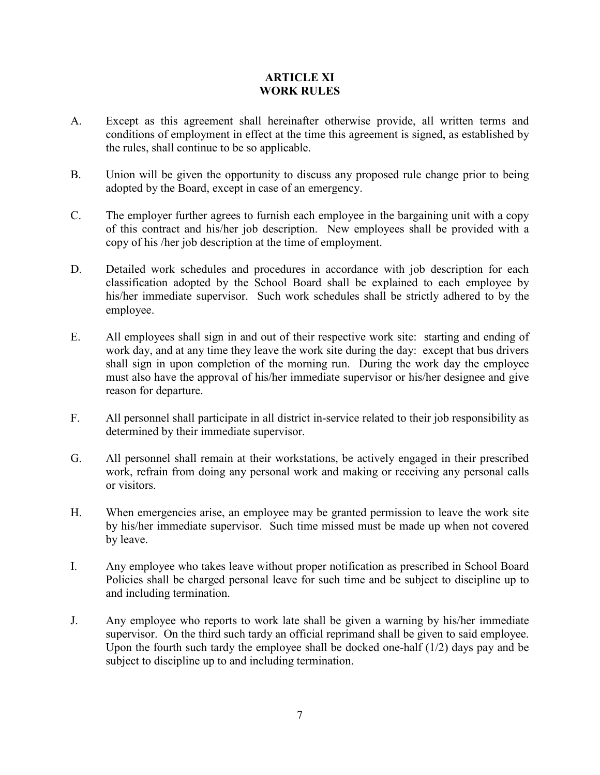#### **ARTICLE XI WORK RULES**

- A. Except as this agreement shall hereinafter otherwise provide, all written terms and conditions of employment in effect at the time this agreement is signed, as established by the rules, shall continue to be so applicable.
- B. Union will be given the opportunity to discuss any proposed rule change prior to being adopted by the Board, except in case of an emergency.
- C. The employer further agrees to furnish each employee in the bargaining unit with a copy of this contract and his/her job description. New employees shall be provided with a copy of his /her job description at the time of employment.
- D. Detailed work schedules and procedures in accordance with job description for each classification adopted by the School Board shall be explained to each employee by his/her immediate supervisor. Such work schedules shall be strictly adhered to by the employee.
- E. All employees shall sign in and out of their respective work site: starting and ending of work day, and at any time they leave the work site during the day: except that bus drivers shall sign in upon completion of the morning run. During the work day the employee must also have the approval of his/her immediate supervisor or his/her designee and give reason for departure.
- F. All personnel shall participate in all district in-service related to their job responsibility as determined by their immediate supervisor.
- G. All personnel shall remain at their workstations, be actively engaged in their prescribed work, refrain from doing any personal work and making or receiving any personal calls or visitors.
- H. When emergencies arise, an employee may be granted permission to leave the work site by his/her immediate supervisor. Such time missed must be made up when not covered by leave.
- I. Any employee who takes leave without proper notification as prescribed in School Board Policies shall be charged personal leave for such time and be subject to discipline up to and including termination.
- J. Any employee who reports to work late shall be given a warning by his/her immediate supervisor. On the third such tardy an official reprimand shall be given to said employee. Upon the fourth such tardy the employee shall be docked one-half (1/2) days pay and be subject to discipline up to and including termination.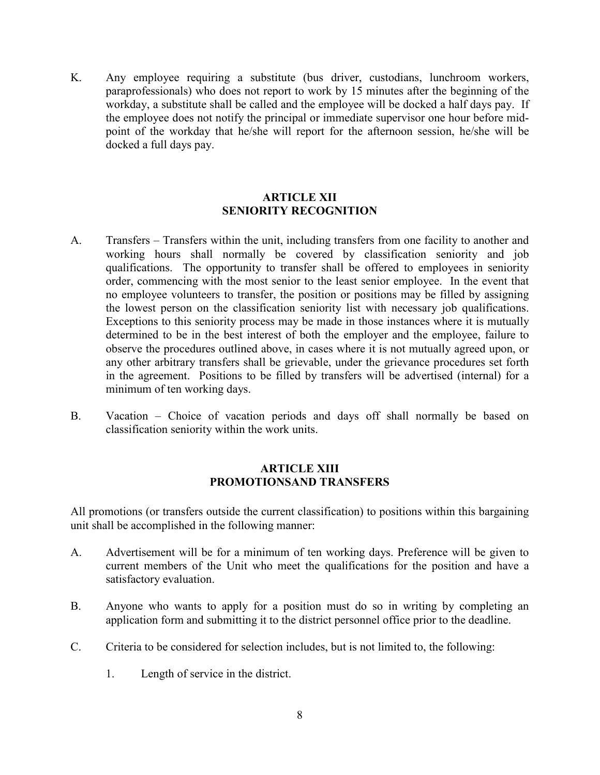K. Any employee requiring a substitute (bus driver, custodians, lunchroom workers, paraprofessionals) who does not report to work by 15 minutes after the beginning of the workday, a substitute shall be called and the employee will be docked a half days pay. If the employee does not notify the principal or immediate supervisor one hour before midpoint of the workday that he/she will report for the afternoon session, he/she will be docked a full days pay.

#### **ARTICLE XII SENIORITY RECOGNITION**

- A. Transfers Transfers within the unit, including transfers from one facility to another and working hours shall normally be covered by classification seniority and job qualifications. The opportunity to transfer shall be offered to employees in seniority order, commencing with the most senior to the least senior employee. In the event that no employee volunteers to transfer, the position or positions may be filled by assigning the lowest person on the classification seniority list with necessary job qualifications. Exceptions to this seniority process may be made in those instances where it is mutually determined to be in the best interest of both the employer and the employee, failure to observe the procedures outlined above, in cases where it is not mutually agreed upon, or any other arbitrary transfers shall be grievable, under the grievance procedures set forth in the agreement. Positions to be filled by transfers will be advertised (internal) for a minimum of ten working days.
- B. Vacation Choice of vacation periods and days off shall normally be based on classification seniority within the work units.

#### **ARTICLE XIII PROMOTIONSAND TRANSFERS**

All promotions (or transfers outside the current classification) to positions within this bargaining unit shall be accomplished in the following manner:

- A. Advertisement will be for a minimum of ten working days. Preference will be given to current members of the Unit who meet the qualifications for the position and have a satisfactory evaluation.
- B. Anyone who wants to apply for a position must do so in writing by completing an application form and submitting it to the district personnel office prior to the deadline.
- C. Criteria to be considered for selection includes, but is not limited to, the following:
	- 1. Length of service in the district.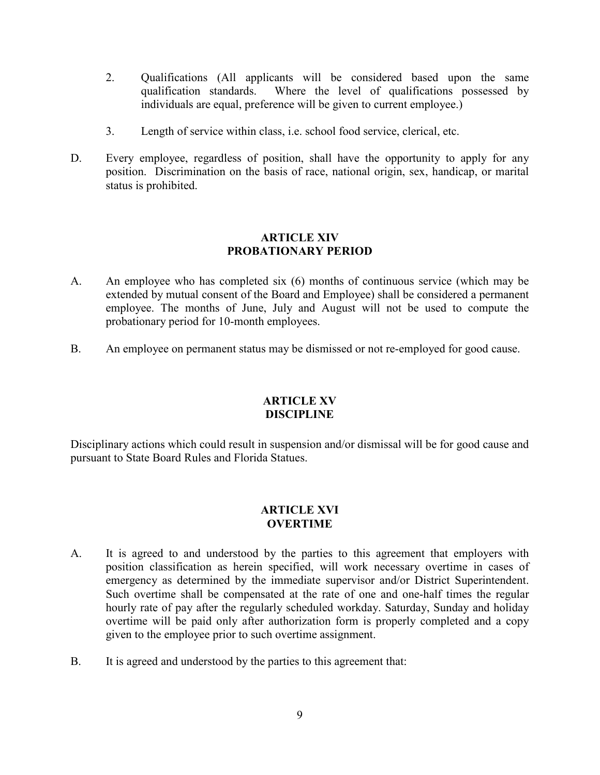- 2. Qualifications (All applicants will be considered based upon the same qualification standards. Where the level of qualifications possessed by individuals are equal, preference will be given to current employee.)
- 3. Length of service within class, i.e. school food service, clerical, etc.
- D. Every employee, regardless of position, shall have the opportunity to apply for any position. Discrimination on the basis of race, national origin, sex, handicap, or marital status is prohibited.

#### **ARTICLE XIV PROBATIONARY PERIOD**

- A. An employee who has completed six (6) months of continuous service (which may be extended by mutual consent of the Board and Employee) shall be considered a permanent employee. The months of June, July and August will not be used to compute the probationary period for 10-month employees.
- B. An employee on permanent status may be dismissed or not re-employed for good cause.

#### **ARTICLE XV DISCIPLINE**

Disciplinary actions which could result in suspension and/or dismissal will be for good cause and pursuant to State Board Rules and Florida Statues.

# **ARTICLE XVI OVERTIME**

- A. It is agreed to and understood by the parties to this agreement that employers with position classification as herein specified, will work necessary overtime in cases of emergency as determined by the immediate supervisor and/or District Superintendent. Such overtime shall be compensated at the rate of one and one-half times the regular hourly rate of pay after the regularly scheduled workday. Saturday, Sunday and holiday overtime will be paid only after authorization form is properly completed and a copy given to the employee prior to such overtime assignment.
- B. It is agreed and understood by the parties to this agreement that: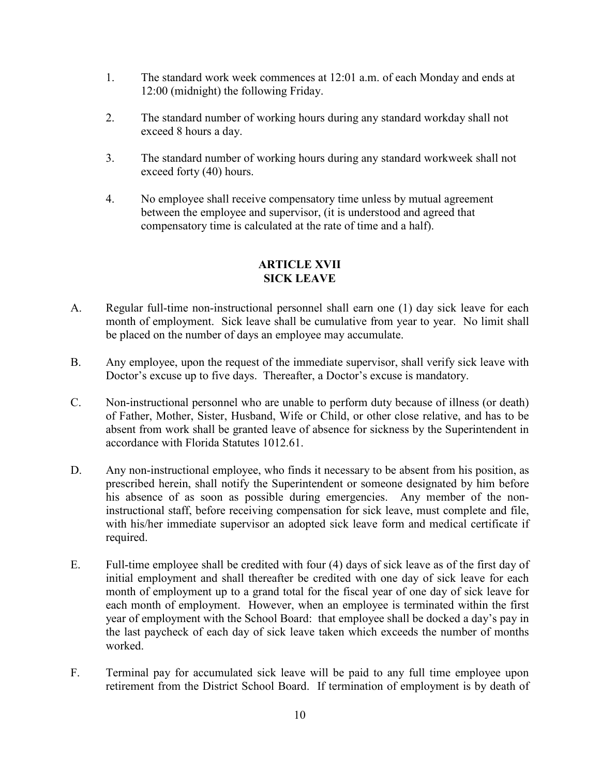- 1. The standard work week commences at 12:01 a.m. of each Monday and ends at 12:00 (midnight) the following Friday.
- 2. The standard number of working hours during any standard workday shall not exceed 8 hours a day.
- 3. The standard number of working hours during any standard workweek shall not exceed forty (40) hours.
- 4. No employee shall receive compensatory time unless by mutual agreement between the employee and supervisor, (it is understood and agreed that compensatory time is calculated at the rate of time and a half).

# **ARTICLE XVII SICK LEAVE**

- A. Regular full-time non-instructional personnel shall earn one (1) day sick leave for each month of employment. Sick leave shall be cumulative from year to year. No limit shall be placed on the number of days an employee may accumulate.
- B. Any employee, upon the request of the immediate supervisor, shall verify sick leave with Doctor's excuse up to five days. Thereafter, a Doctor's excuse is mandatory.
- C. Non-instructional personnel who are unable to perform duty because of illness (or death) of Father, Mother, Sister, Husband, Wife or Child, or other close relative, and has to be absent from work shall be granted leave of absence for sickness by the Superintendent in accordance with Florida Statutes 1012.61.
- D. Any non-instructional employee, who finds it necessary to be absent from his position, as prescribed herein, shall notify the Superintendent or someone designated by him before his absence of as soon as possible during emergencies. Any member of the noninstructional staff, before receiving compensation for sick leave, must complete and file, with his/her immediate supervisor an adopted sick leave form and medical certificate if required.
- E. Full-time employee shall be credited with four (4) days of sick leave as of the first day of initial employment and shall thereafter be credited with one day of sick leave for each month of employment up to a grand total for the fiscal year of one day of sick leave for each month of employment. However, when an employee is terminated within the first year of employment with the School Board: that employee shall be docked a day's pay in the last paycheck of each day of sick leave taken which exceeds the number of months worked.
- F. Terminal pay for accumulated sick leave will be paid to any full time employee upon retirement from the District School Board. If termination of employment is by death of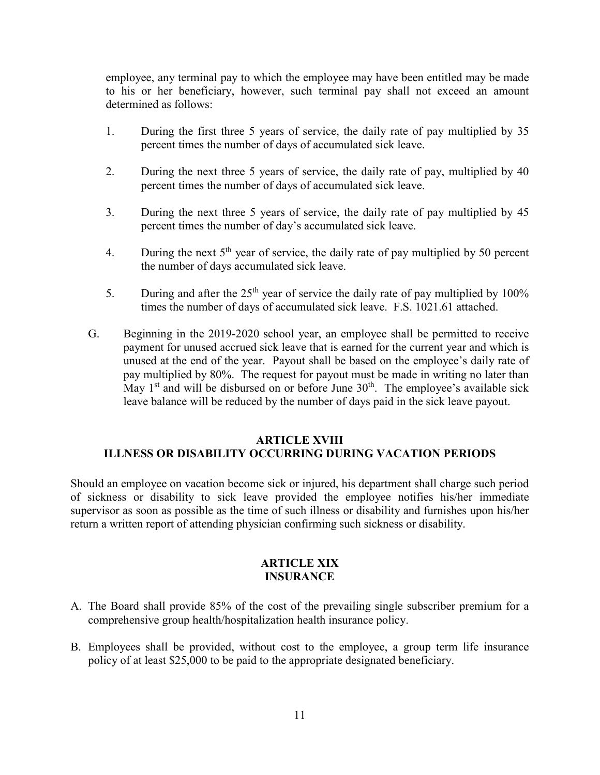employee, any terminal pay to which the employee may have been entitled may be made to his or her beneficiary, however, such terminal pay shall not exceed an amount determined as follows:

- 1. During the first three 5 years of service, the daily rate of pay multiplied by 35 percent times the number of days of accumulated sick leave.
- 2. During the next three 5 years of service, the daily rate of pay, multiplied by 40 percent times the number of days of accumulated sick leave.
- 3. During the next three 5 years of service, the daily rate of pay multiplied by 45 percent times the number of day's accumulated sick leave.
- 4. During the next  $5<sup>th</sup>$  year of service, the daily rate of pay multiplied by 50 percent the number of days accumulated sick leave.
- 5. During and after the  $25<sup>th</sup>$  year of service the daily rate of pay multiplied by 100% times the number of days of accumulated sick leave. F.S. 1021.61 attached.
- G. Beginning in the 2019-2020 school year, an employee shall be permitted to receive payment for unused accrued sick leave that is earned for the current year and which is unused at the end of the year. Payout shall be based on the employee's daily rate of pay multiplied by 80%. The request for payout must be made in writing no later than May  $1<sup>st</sup>$  and will be disbursed on or before June  $30<sup>th</sup>$ . The employee's available sick leave balance will be reduced by the number of days paid in the sick leave payout.

#### **ARTICLE XVIII ILLNESS OR DISABILITY OCCURRING DURING VACATION PERIODS**

Should an employee on vacation become sick or injured, his department shall charge such period of sickness or disability to sick leave provided the employee notifies his/her immediate supervisor as soon as possible as the time of such illness or disability and furnishes upon his/her return a written report of attending physician confirming such sickness or disability.

#### **ARTICLE XIX INSURANCE**

- A. The Board shall provide 85% of the cost of the prevailing single subscriber premium for a comprehensive group health/hospitalization health insurance policy.
- B. Employees shall be provided, without cost to the employee, a group term life insurance policy of at least \$25,000 to be paid to the appropriate designated beneficiary.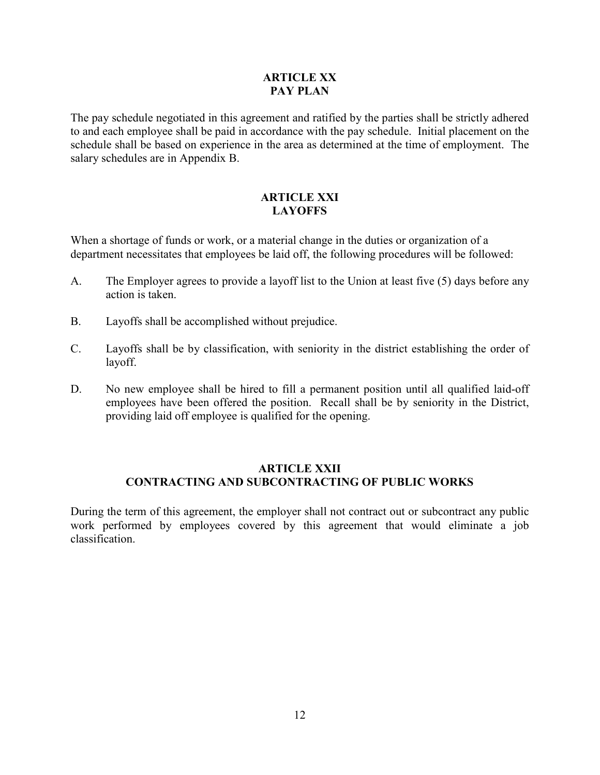#### **ARTICLE XX PAY PLAN**

The pay schedule negotiated in this agreement and ratified by the parties shall be strictly adhered to and each employee shall be paid in accordance with the pay schedule. Initial placement on the schedule shall be based on experience in the area as determined at the time of employment. The salary schedules are in Appendix B.

#### **ARTICLE XXI LAYOFFS**

When a shortage of funds or work, or a material change in the duties or organization of a department necessitates that employees be laid off, the following procedures will be followed:

- A. The Employer agrees to provide a layoff list to the Union at least five (5) days before any action is taken.
- B. Layoffs shall be accomplished without prejudice.
- C. Layoffs shall be by classification, with seniority in the district establishing the order of layoff.
- D. No new employee shall be hired to fill a permanent position until all qualified laid-off employees have been offered the position. Recall shall be by seniority in the District, providing laid off employee is qualified for the opening.

#### **ARTICLE XXII CONTRACTING AND SUBCONTRACTING OF PUBLIC WORKS**

During the term of this agreement, the employer shall not contract out or subcontract any public work performed by employees covered by this agreement that would eliminate a job classification.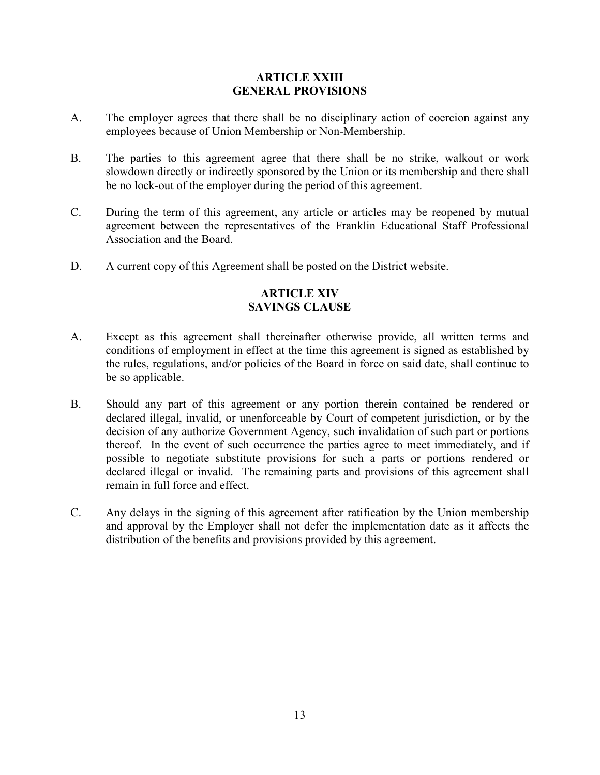#### **ARTICLE XXIII GENERAL PROVISIONS**

- A. The employer agrees that there shall be no disciplinary action of coercion against any employees because of Union Membership or Non-Membership.
- B. The parties to this agreement agree that there shall be no strike, walkout or work slowdown directly or indirectly sponsored by the Union or its membership and there shall be no lock-out of the employer during the period of this agreement.
- C. During the term of this agreement, any article or articles may be reopened by mutual agreement between the representatives of the Franklin Educational Staff Professional Association and the Board.
- D. A current copy of this Agreement shall be posted on the District website.

# **ARTICLE XIV SAVINGS CLAUSE**

- A. Except as this agreement shall thereinafter otherwise provide, all written terms and conditions of employment in effect at the time this agreement is signed as established by the rules, regulations, and/or policies of the Board in force on said date, shall continue to be so applicable.
- B. Should any part of this agreement or any portion therein contained be rendered or declared illegal, invalid, or unenforceable by Court of competent jurisdiction, or by the decision of any authorize Government Agency, such invalidation of such part or portions thereof. In the event of such occurrence the parties agree to meet immediately, and if possible to negotiate substitute provisions for such a parts or portions rendered or declared illegal or invalid. The remaining parts and provisions of this agreement shall remain in full force and effect.
- C. Any delays in the signing of this agreement after ratification by the Union membership and approval by the Employer shall not defer the implementation date as it affects the distribution of the benefits and provisions provided by this agreement.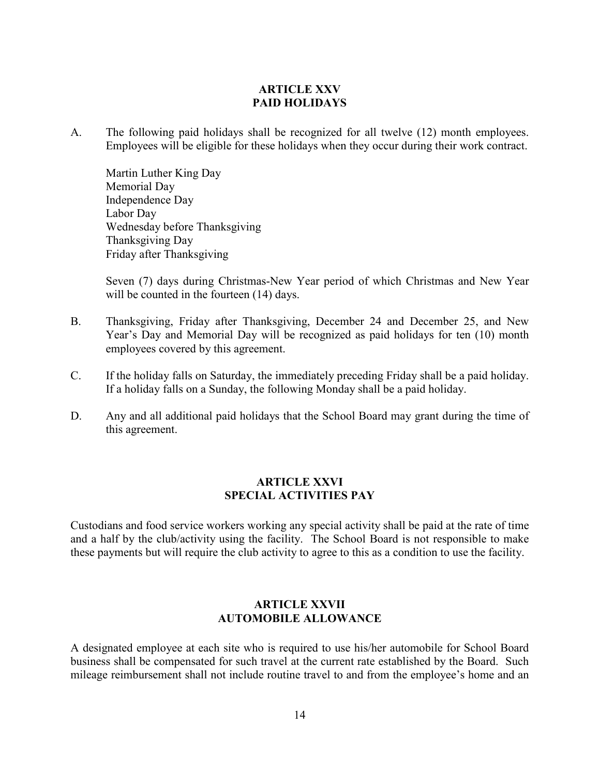#### **ARTICLE XXV PAID HOLIDAYS**

A. The following paid holidays shall be recognized for all twelve (12) month employees. Employees will be eligible for these holidays when they occur during their work contract.

Martin Luther King Day Memorial Day Independence Day Labor Day Wednesday before Thanksgiving Thanksgiving Day Friday after Thanksgiving

Seven (7) days during Christmas-New Year period of which Christmas and New Year will be counted in the fourteen  $(14)$  days.

- B. Thanksgiving, Friday after Thanksgiving, December 24 and December 25, and New Year's Day and Memorial Day will be recognized as paid holidays for ten (10) month employees covered by this agreement.
- C. If the holiday falls on Saturday, the immediately preceding Friday shall be a paid holiday. If a holiday falls on a Sunday, the following Monday shall be a paid holiday.
- D. Any and all additional paid holidays that the School Board may grant during the time of this agreement.

#### **ARTICLE XXVI SPECIAL ACTIVITIES PAY**

Custodians and food service workers working any special activity shall be paid at the rate of time and a half by the club/activity using the facility. The School Board is not responsible to make these payments but will require the club activity to agree to this as a condition to use the facility.

#### **ARTICLE XXVII AUTOMOBILE ALLOWANCE**

A designated employee at each site who is required to use his/her automobile for School Board business shall be compensated for such travel at the current rate established by the Board. Such mileage reimbursement shall not include routine travel to and from the employee's home and an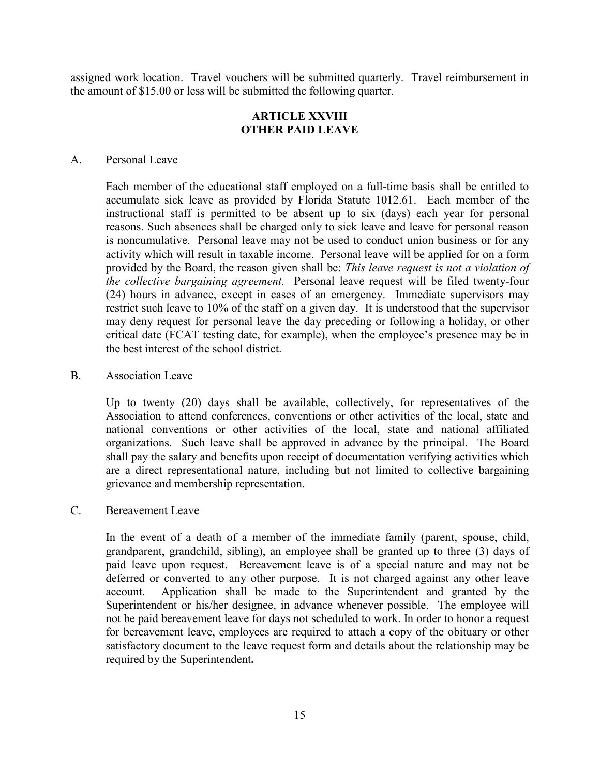assigned work location. Travel vouchers will be submitted quarterly. Travel reimbursement in the amount of \$15.00 or less will be submitted the following quarter.

#### **ARTICLE XXVIII OTHER PAID LEAVE**

#### A. Personal Leave

Each member of the educational staff employed on a full-time basis shall be entitled to accumulate sick leave as provided by Florida Statute 1012.61. Each member of the instructional staff is permitted to be absent up to six (days) each year for personal reasons. Such absences shall be charged only to sick leave and leave for personal reason is noncumulative. Personal leave may not be used to conduct union business or for any activity which will result in taxable income. Personal leave will be applied for on a form provided by the Board, the reason given shall be: *This leave request is not a violation of the collective bargaining agreement.* Personal leave request will be filed twenty-four (24) hours in advance, except in cases of an emergency. Immediate supervisors may restrict such leave to 10% of the staff on a given day. It is understood that the supervisor may deny request for personal leave the day preceding or following a holiday, or other critical date (FCAT testing date, for example), when the employee's presence may be in the best interest of the school district.

#### B. Association Leave

Up to twenty (20) days shall be available, collectively, for representatives of the Association to attend conferences, conventions or other activities of the local, state and national conventions or other activities of the local, state and national affiliated organizations. Such leave shall be approved in advance by the principal. The Board shall pay the salary and benefits upon receipt of documentation verifying activities which are a direct representational nature, including but not limited to collective bargaining grievance and membership representation.

#### C. Bereavement Leave

In the event of a death of a member of the immediate family (parent, spouse, child, grandparent, grandchild, sibling), an employee shall be granted up to three (3) days of paid leave upon request. Bereavement leave is of a special nature and may not be deferred or converted to any other purpose. It is not charged against any other leave account. Application shall be made to the Superintendent and granted by the Superintendent or his/her designee, in advance whenever possible. The employee will not be paid bereavement leave for days not scheduled to work. In order to honor a request for bereavement leave, employees are required to attach a copy of the obituary or other satisfactory document to the leave request form and details about the relationship may be required by the Superintendent**.**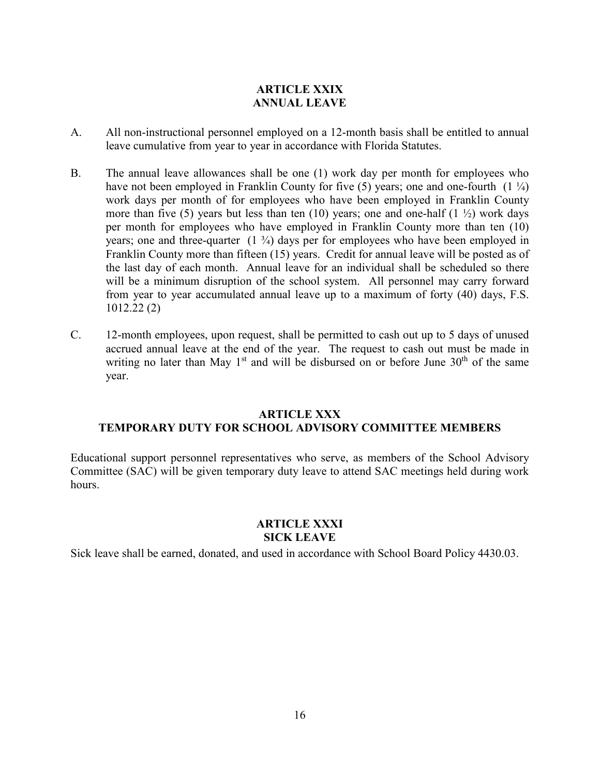# **ARTICLE XXIX ANNUAL LEAVE**

- A. All non-instructional personnel employed on a 12-month basis shall be entitled to annual leave cumulative from year to year in accordance with Florida Statutes.
- B. The annual leave allowances shall be one (1) work day per month for employees who have not been employed in Franklin County for five (5) years; one and one-fourth  $(1 \frac{1}{4})$ work days per month of for employees who have been employed in Franklin County more than five (5) years but less than ten (10) years; one and one-half (1  $\frac{1}{2}$ ) work days per month for employees who have employed in Franklin County more than ten (10) years; one and three-quarter  $(1 \frac{3}{4})$  days per for employees who have been employed in Franklin County more than fifteen (15) years. Credit for annual leave will be posted as of the last day of each month. Annual leave for an individual shall be scheduled so there will be a minimum disruption of the school system. All personnel may carry forward from year to year accumulated annual leave up to a maximum of forty (40) days, F.S. 1012.22 (2)
- C. 12-month employees, upon request, shall be permitted to cash out up to 5 days of unused accrued annual leave at the end of the year. The request to cash out must be made in writing no later than May  $1<sup>st</sup>$  and will be disbursed on or before June  $30<sup>th</sup>$  of the same year.

#### **ARTICLE XXX TEMPORARY DUTY FOR SCHOOL ADVISORY COMMITTEE MEMBERS**

Educational support personnel representatives who serve, as members of the School Advisory Committee (SAC) will be given temporary duty leave to attend SAC meetings held during work hours.

# **ARTICLE XXXI SICK LEAVE**

Sick leave shall be earned, donated, and used in accordance with School Board Policy 4430.03.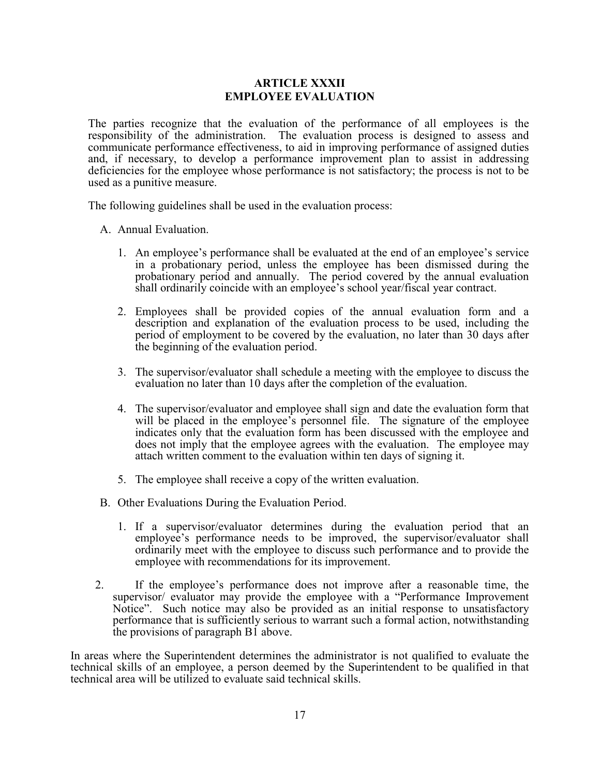#### **ARTICLE XXXII EMPLOYEE EVALUATION**

The parties recognize that the evaluation of the performance of all employees is the responsibility of the administration. The evaluation process is designed to assess and communicate performance effectiveness, to aid in improving performance of assigned duties and, if necessary, to develop a performance improvement plan to assist in addressing deficiencies for the employee whose performance is not satisfactory; the process is not to be used as a punitive measure.

The following guidelines shall be used in the evaluation process:

- A. Annual Evaluation.
	- 1. An employee's performance shall be evaluated at the end of an employee's service in a probationary period, unless the employee has been dismissed during the probationary period and annually. The period covered by the annual evaluation shall ordinarily coincide with an employee's school year/fiscal year contract.
	- 2. Employees shall be provided copies of the annual evaluation form and a description and explanation of the evaluation process to be used, including the period of employment to be covered by the evaluation, no later than 30 days after the beginning of the evaluation period.
	- 3. The supervisor/evaluator shall schedule a meeting with the employee to discuss the evaluation no later than 10 days after the completion of the evaluation.
	- 4. The supervisor/evaluator and employee shall sign and date the evaluation form that will be placed in the employee's personnel file. The signature of the employee indicates only that the evaluation form has been discussed with the employee and does not imply that the employee agrees with the evaluation. The employee may attach written comment to the evaluation within ten days of signing it.
	- 5. The employee shall receive a copy of the written evaluation.
- B. Other Evaluations During the Evaluation Period.
	- 1. If a supervisor/evaluator determines during the evaluation period that an employee's performance needs to be improved, the supervisor/evaluator shall ordinarily meet with the employee to discuss such performance and to provide the employee with recommendations for its improvement.
- 2. If the employee's performance does not improve after a reasonable time, the supervisor/ evaluator may provide the employee with a "Performance Improvement Notice". Such notice may also be provided as an initial response to unsatisfactory performance that is sufficiently serious to warrant such a formal action, notwithstanding the provisions of paragraph B1 above.

In areas where the Superintendent determines the administrator is not qualified to evaluate the technical skills of an employee, a person deemed by the Superintendent to be qualified in that technical area will be utilized to evaluate said technical skills.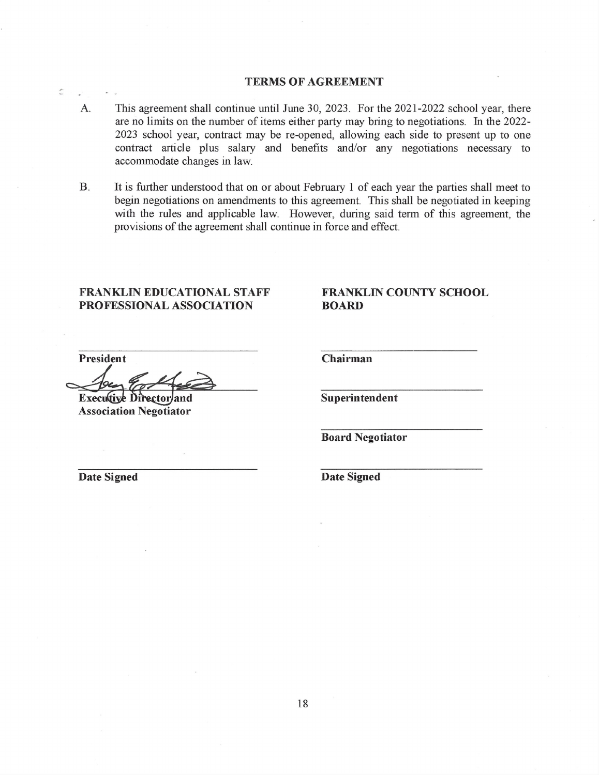# **TERMS OF AGREEMENT**

- This agreement shall continue until June 30, 2023. For the 2021-2022 school year, there A. are no limits on the number of items either party may bring to negotiations. In the 2022-2023 school year, contract may be re-opened, allowing each side to present up to one contract article plus salary and benefits and/or any negotiations necessary to accommodate changes in law.
- It is further understood that on or about February 1 of each year the parties shall meet to  $\mathbf{B}$ . begin negotiations on amendments to this agreement. This shall be negotiated in keeping with the rules and applicable law. However, during said term of this agreement, the provisions of the agreement shall continue in force and effect.

# **FRANKLIN EDUCATIONAL STAFF** PROFESSIONAL ASSOCIATION

# FRANKLIN COUNTY SCHOOL **BOARD**

President

 $\label{eq:11} \begin{array}{ccc} \mathcal{B}^{\prime} & & \mathcal{B}^{\prime} & \mathcal{B}^{\prime} \end{array}$ 

**Executive Director/and Association Negotiator** 

Chairman

Superintendent

**Board Negotiator** 

**Date Signed** 

**Date Signed** 

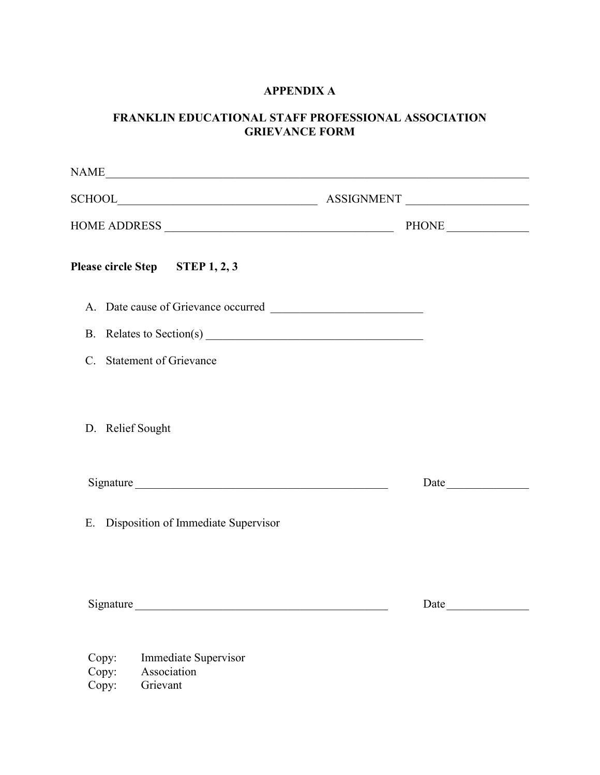# **APPENDIX A**

# **FRANKLIN EDUCATIONAL STAFF PROFESSIONAL ASSOCIATION GRIEVANCE FORM**

| Please circle Step STEP 1, 2, 3                       |      |
|-------------------------------------------------------|------|
|                                                       |      |
|                                                       |      |
| C. Statement of Grievance                             |      |
| D. Relief Sought                                      |      |
| Signature                                             | Date |
| E. Disposition of Immediate Supervisor                |      |
| Signature                                             | Date |
| Immediate Supervisor<br>Copy:<br>Copy:<br>Association |      |

Copy: Grievant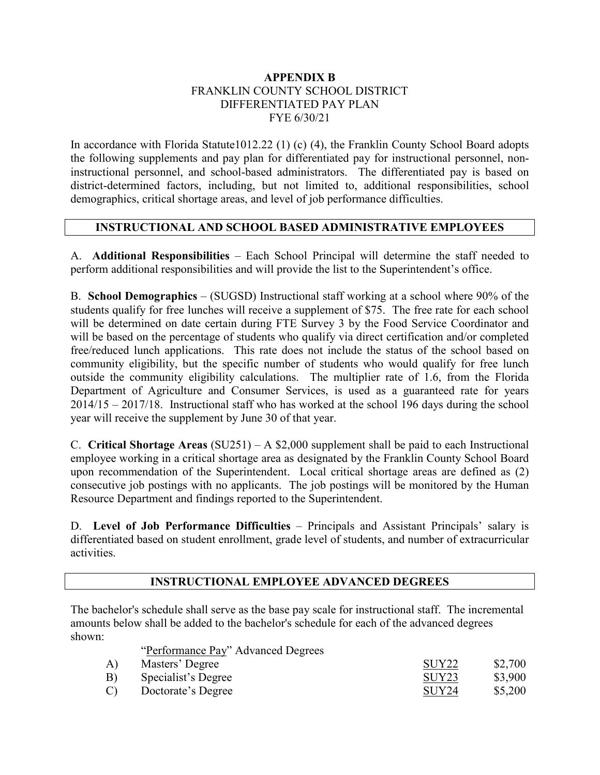#### **APPENDIX B**  FRANKLIN COUNTY SCHOOL DISTRICT DIFFERENTIATED PAY PLAN FYE 6/30/21

In accordance with Florida Statute1012.22 (1) (c) (4), the Franklin County School Board adopts the following supplements and pay plan for differentiated pay for instructional personnel, noninstructional personnel, and school-based administrators. The differentiated pay is based on district-determined factors, including, but not limited to, additional responsibilities, school demographics, critical shortage areas, and level of job performance difficulties.

#### **INSTRUCTIONAL AND SCHOOL BASED ADMINISTRATIVE EMPLOYEES**

A. **Additional Responsibilities** – Each School Principal will determine the staff needed to perform additional responsibilities and will provide the list to the Superintendent's office.

B. **School Demographics** – (SUGSD) Instructional staff working at a school where 90% of the students qualify for free lunches will receive a supplement of \$75. The free rate for each school will be determined on date certain during FTE Survey 3 by the Food Service Coordinator and will be based on the percentage of students who qualify via direct certification and/or completed free/reduced lunch applications. This rate does not include the status of the school based on community eligibility, but the specific number of students who would qualify for free lunch outside the community eligibility calculations. The multiplier rate of 1.6, from the Florida Department of Agriculture and Consumer Services, is used as a guaranteed rate for years 2014/15 – 2017/18. Instructional staff who has worked at the school 196 days during the school year will receive the supplement by June 30 of that year.

C. **Critical Shortage Areas** (SU251) – A \$2,000 supplement shall be paid to each Instructional employee working in a critical shortage area as designated by the Franklin County School Board upon recommendation of the Superintendent. Local critical shortage areas are defined as (2) consecutive job postings with no applicants. The job postings will be monitored by the Human Resource Department and findings reported to the Superintendent.

D. **Level of Job Performance Difficulties** – Principals and Assistant Principals' salary is differentiated based on student enrollment, grade level of students, and number of extracurricular activities.

#### **INSTRUCTIONAL EMPLOYEE ADVANCED DEGREES**

The bachelor's schedule shall serve as the base pay scale for instructional staff. The incremental amounts below shall be added to the bachelor's schedule for each of the advanced degrees shown:

"Performance Pay" Advanced Degrees

| Masters' Degree     | SUY <sub>22</sub> | \$2,700 |
|---------------------|-------------------|---------|
| Specialist's Degree | SUY <sub>23</sub> | \$3,900 |
| Doctorate's Degree  | SUY <sub>24</sub> | \$5,200 |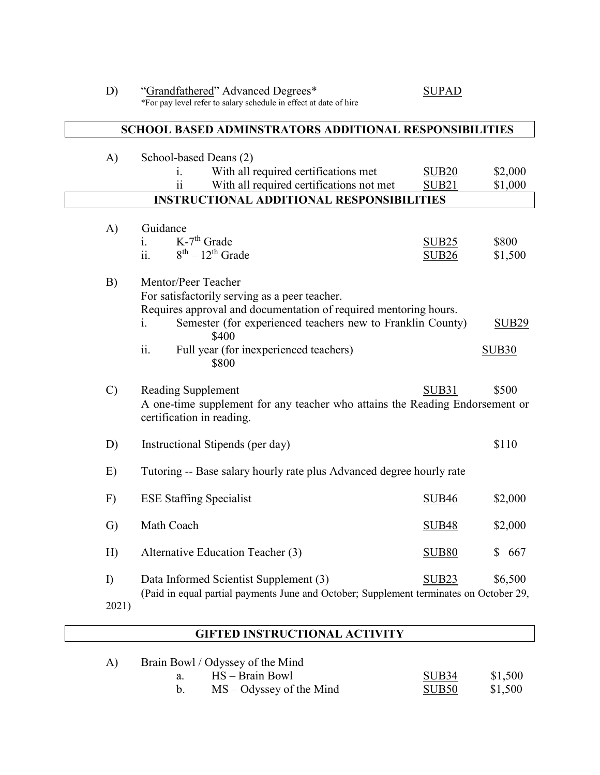| D)            | "Grandfathered" Advanced Degrees*<br>*For pay level refer to salary schedule in effect at date of hire                                                                                                                                                                          | <b>SUPAD</b>                           |                                        |
|---------------|---------------------------------------------------------------------------------------------------------------------------------------------------------------------------------------------------------------------------------------------------------------------------------|----------------------------------------|----------------------------------------|
|               | <b>SCHOOL BASED ADMINSTRATORS ADDITIONAL RESPONSIBILITIES</b>                                                                                                                                                                                                                   |                                        |                                        |
| A)            | School-based Deans (2)<br>With all required certifications met<br>1.<br>With all required certifications not met<br>11<br><b>INSTRUCTIONAL ADDITIONAL RESPONSIBILITIES</b>                                                                                                      | <b>SUB20</b><br>SUB <sub>21</sub>      | \$2,000<br>\$1,000                     |
|               |                                                                                                                                                                                                                                                                                 |                                        |                                        |
| A)            | Guidance<br>$K$ -7 <sup>th</sup> Grade<br>$\mathbf{i}$ .<br>ii.<br>$8th - 12th$ Grade                                                                                                                                                                                           | SUB <sub>25</sub><br>SUB <sub>26</sub> | \$800<br>\$1,500                       |
| B)            | Mentor/Peer Teacher<br>For satisfactorily serving as a peer teacher.<br>Requires approval and documentation of required mentoring hours.<br>Semester (for experienced teachers new to Franklin County)<br>1.<br>\$400<br>ii.<br>Full year (for inexperienced teachers)<br>\$800 |                                        | SUB <sub>29</sub><br>SUB <sub>30</sub> |
| $\mathcal{C}$ | Reading Supplement<br>A one-time supplement for any teacher who attains the Reading Endorsement or<br>certification in reading.                                                                                                                                                 | SUB31                                  | \$500                                  |
| D)            | Instructional Stipends (per day)                                                                                                                                                                                                                                                |                                        | \$110                                  |
| E)            | Tutoring -- Base salary hourly rate plus Advanced degree hourly rate                                                                                                                                                                                                            |                                        |                                        |
| F)            | <b>ESE Staffing Specialist</b>                                                                                                                                                                                                                                                  | SUB <sub>46</sub>                      | \$2,000                                |
| G)            | Math Coach                                                                                                                                                                                                                                                                      | <b>SUB48</b>                           | \$2,000                                |
| H)            | Alternative Education Teacher (3)                                                                                                                                                                                                                                               | <b>SUB80</b>                           | 667<br>\$                              |
| I             | Data Informed Scientist Supplement (3)<br>(Paid in equal partial payments June and October; Supplement terminates on October 29,<br>2021)                                                                                                                                       | SUB <sub>23</sub>                      | \$6,500                                |

# **GIFTED INSTRUCTIONAL ACTIVITY**

| Brain Bowl / Odyssey of the Mind |                            |                   |         |  |
|----------------------------------|----------------------------|-------------------|---------|--|
|                                  | HS – Brain Bowl            | SUB <sub>34</sub> | \$1,500 |  |
|                                  | $MS - Odyssey$ of the Mind | SUB <sub>50</sub> | \$1,500 |  |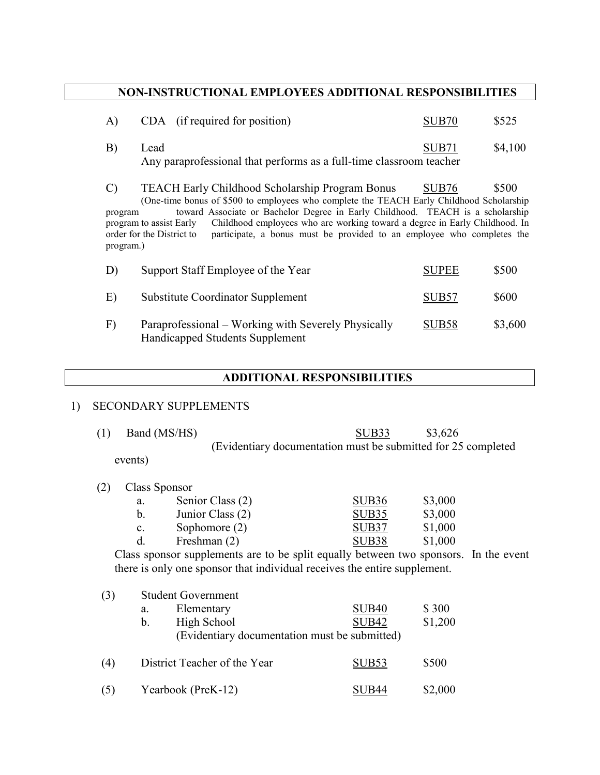# **NON-INSTRUCTIONAL EMPLOYEES ADDITIONAL RESPONSIBILITIES**

|    | CDA (if required for position)                                      | SUB <sub>70</sub> | \$525   |
|----|---------------------------------------------------------------------|-------------------|---------|
| B) | Lead                                                                | SUB71             | \$4,100 |
|    | Any paraprofessional that performs as a full-time classroom teacher |                   |         |

C) TEACH Early Childhood Scholarship Program Bonus SUB76 \$500 (One-time bonus of \$500 to employees who complete the TEACH Early Childhood Scholarship program toward Associate or Bachelor Degree in Early Childhood. TEACH is a scholarship program to assist Early Childhood employees who are working toward a degree in Early Childhood. In order for the District to participate, a bonus must be provided to an employee who completes the program.)

| D) | Support Staff Employee of the Year                                                     | <b>SUPEE</b>      | \$500   |
|----|----------------------------------------------------------------------------------------|-------------------|---------|
| E) | Substitute Coordinator Supplement                                                      | SUB <sub>57</sub> | \$600   |
| F) | Paraprofessional – Working with Severely Physically<br>Handicapped Students Supplement | SUB <sub>58</sub> | \$3,600 |

#### **ADDITIONAL RESPONSIBILITIES**

#### 1) SECONDARY SUPPLEMENTS

(1) Band (MS/HS) SUB33 \$3,626 (Evidentiary documentation must be submitted for 25 completed

events)

(2) Class Sponsor

| a.             | Senior Class (2) | SUB <sub>36</sub> | \$3,000 |
|----------------|------------------|-------------------|---------|
| b.             | Junior Class (2) | SUB35             | \$3,000 |
| $\mathbf{c}$ . | Sophomore $(2)$  | SUB37             | \$1,000 |
| d.             | Freshman (2)     | SUB <sub>38</sub> | \$1,000 |

Class sponsor supplements are to be split equally between two sponsors. In the event there is only one sponsor that individual receives the entire supplement.

| (3) | <b>Student Government</b>                     |                   |         |  |  |  |
|-----|-----------------------------------------------|-------------------|---------|--|--|--|
|     | Elementary<br>a.                              | <b>SUB40</b>      | \$300   |  |  |  |
|     | High School<br>$\mathbf{b}$ .                 | SUB <sub>42</sub> | \$1,200 |  |  |  |
|     | (Evidentiary documentation must be submitted) |                   |         |  |  |  |
| (4) | District Teacher of the Year                  | SUB <sub>53</sub> | \$500   |  |  |  |
| (5) | Yearbook (PreK-12)                            | SUB44             | \$2,000 |  |  |  |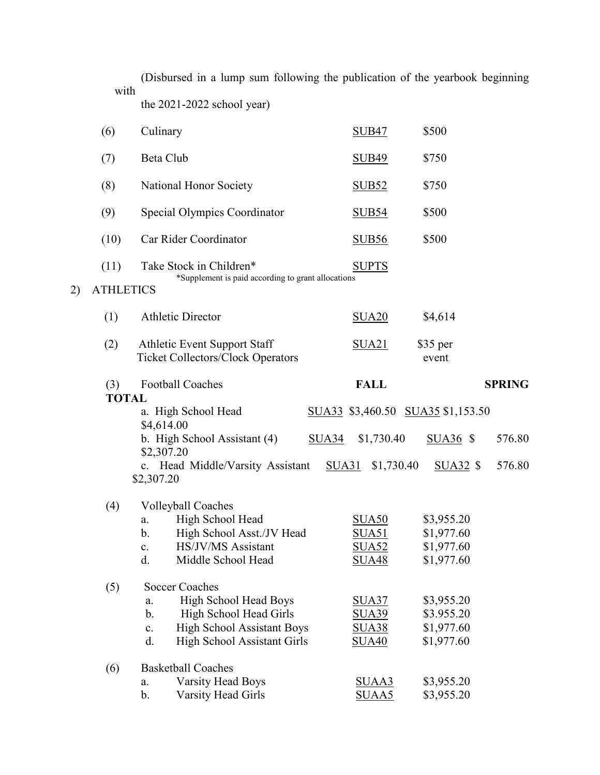(Disbursed in a lump sum following the publication of the yearbook beginning with the 2021-2022 school year)

| (6)                 | Culinary                                                                        | <b>SUB47</b>                      | \$500             |               |
|---------------------|---------------------------------------------------------------------------------|-----------------------------------|-------------------|---------------|
| (7)                 | Beta Club                                                                       | <b>SUB49</b>                      | \$750             |               |
| (8)                 | National Honor Society                                                          | <b>SUB52</b>                      | \$750             |               |
| (9)                 | Special Olympics Coordinator                                                    | <b>SUB54</b>                      | \$500             |               |
| (10)                | Car Rider Coordinator                                                           | <b>SUB56</b>                      | \$500             |               |
| (11)                | Take Stock in Children*                                                         | <b>SUPTS</b>                      |                   |               |
| <b>ATHLETICS</b>    | *Supplement is paid according to grant allocations                              |                                   |                   |               |
| (1)                 | <b>Athletic Director</b>                                                        | SUA <sub>20</sub>                 | \$4,614           |               |
| (2)                 | <b>Athletic Event Support Staff</b><br><b>Ticket Collectors/Clock Operators</b> | <u>SUA21</u>                      | \$35 per<br>event |               |
| (3)<br><b>TOTAL</b> | <b>Football Coaches</b>                                                         | <b>FALL</b>                       |                   | <b>SPRING</b> |
|                     | a. High School Head                                                             | SUA33 \$3,460.50 SUA35 \$1,153.50 |                   |               |
|                     | \$4,614.00                                                                      |                                   |                   |               |
|                     | b. High School Assistant (4)<br>\$2,307.20                                      | \$1,730.40<br>SUA34               | $SUA36$ \$        | 576.80        |
|                     | c. Head Middle/Varsity Assistant<br>\$2,307.20                                  | SUA31<br>\$1,730.40               | $SUA32$ \$        | 576.80        |
| (4)                 | <b>Volleyball Coaches</b>                                                       |                                   |                   |               |
|                     | High School Head<br>a.                                                          | SUA <sub>50</sub>                 | \$3,955.20        |               |
|                     | High School Asst./JV Head<br>b.                                                 | <b>SUA51</b>                      | \$1,977.60        |               |
|                     | HS/JV/MS Assistant<br>$\mathbf{c}$ .                                            | SUA52                             | \$1,977.60        |               |
|                     | Middle School Head<br>d.                                                        | <b>SUA48</b>                      | \$1,977.60        |               |
| (5)                 | <b>Soccer Coaches</b>                                                           |                                   |                   |               |
|                     | High School Head Boys<br>a.                                                     | <b>SUA37</b>                      | \$3,955.20        |               |
|                     | High School Head Girls<br>$\mathbf b$ .                                         | <b>SUA39</b>                      | \$3.955.20        |               |
|                     | <b>High School Assistant Boys</b><br>$\mathbf{c}$ .                             | <b>SUA38</b>                      | \$1,977.60        |               |
|                     | High School Assistant Girls<br>d.                                               | <b>SUA40</b>                      | \$1,977.60        |               |
| (6)                 | <b>Basketball Coaches</b>                                                       |                                   |                   |               |
|                     | <b>Varsity Head Boys</b><br>a.                                                  | SUAA3                             | \$3,955.20        |               |
|                     | $\mathbf b$ .<br>Varsity Head Girls                                             | SUAA5                             | \$3,955.20        |               |

 $2)$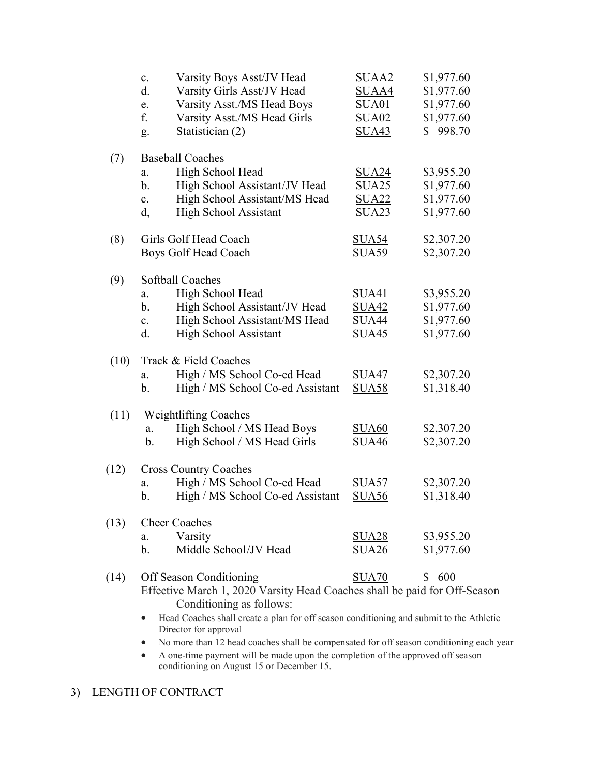|      | Varsity Boys Asst/JV Head<br>c.<br>d.<br>Varsity Girls Asst/JV Head<br>Varsity Asst./MS Head Boys<br>e.<br>f.<br>Varsity Asst./MS Head Girls<br>Statistician (2)<br>g.                                                      | SUAA <sub>2</sub><br>SUAA4<br><b>SUA01</b><br><b>SUA02</b><br><b>SUA43</b> | \$1,977.60<br>\$1,977.60<br>\$1,977.60<br>\$1,977.60<br>998.70<br>S. |
|------|-----------------------------------------------------------------------------------------------------------------------------------------------------------------------------------------------------------------------------|----------------------------------------------------------------------------|----------------------------------------------------------------------|
| (7)  | <b>Baseball Coaches</b><br>High School Head<br>a.<br>High School Assistant/JV Head<br>b.<br>High School Assistant/MS Head<br>$\mathbf{c}$ .<br><b>High School Assistant</b><br>d,                                           | <b>SUA24</b><br><b>SUA25</b><br><b>SUA22</b><br><u>SUA23</u>               | \$3,955.20<br>\$1,977.60<br>\$1,977.60<br>\$1,977.60                 |
| (8)  | Girls Golf Head Coach<br>Boys Golf Head Coach                                                                                                                                                                               | <b>SUA54</b><br><b>SUA59</b>                                               | \$2,307.20<br>\$2,307.20                                             |
| (9)  | Softball Coaches<br>High School Head<br>a.<br>High School Assistant/JV Head<br>b.<br>High School Assistant/MS Head<br>$\mathbf{c}$ .<br><b>High School Assistant</b><br>d.                                                  | <b>SUA41</b><br><u>SUA42</u><br><b>SUA44</b><br>SUA45                      | \$3,955.20<br>\$1,977.60<br>\$1,977.60<br>\$1,977.60                 |
| (10) | Track & Field Coaches<br>High / MS School Co-ed Head<br>a.<br>High / MS School Co-ed Assistant<br>b.                                                                                                                        | <b>SUA47</b><br><b>SUA58</b>                                               | \$2,307.20<br>\$1,318.40                                             |
| (11) | <b>Weightlifting Coaches</b><br>High School / MS Head Boys<br>a.<br>High School / MS Head Girls<br>b.                                                                                                                       | <b>SUA60</b><br><u>SUA46</u>                                               | \$2,307.20<br>\$2,307.20                                             |
| (12) | <b>Cross Country Coaches</b><br>High / MS School Co-ed Head<br>a.<br>High / MS School Co-ed Assistant<br>b.                                                                                                                 | <b>SUA57</b><br><b>SUA56</b>                                               | \$2,307.20<br>\$1,318.40                                             |
| (13) | <b>Cheer Coaches</b><br>Varsity<br>a.<br>Middle School/JV Head<br>b.                                                                                                                                                        | SUA28<br>SUA26                                                             | \$3,955.20<br>\$1,977.60                                             |
| (14) | Off Season Conditioning<br>Effective March 1, 2020 Varsity Head Coaches shall be paid for Off-Season<br>Conditioning as follows:<br>Head Coaches shall create a plan for off season conditioning and submit to the Athletic | SUA70                                                                      | \$600                                                                |

- Head Coaches shall create a plan for off season conditioning and submit to the Athletic Director for approval
- No more than 12 head coaches shall be compensated for off season conditioning each year
- A one-time payment will be made upon the completion of the approved off season conditioning on August 15 or December 15.

# 3) LENGTH OF CONTRACT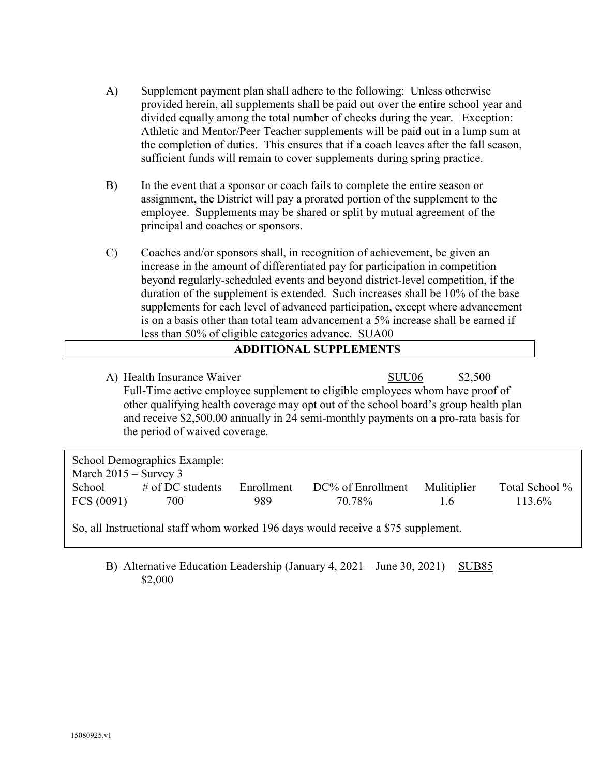- A) Supplement payment plan shall adhere to the following: Unless otherwise provided herein, all supplements shall be paid out over the entire school year and divided equally among the total number of checks during the year. Exception: Athletic and Mentor/Peer Teacher supplements will be paid out in a lump sum at the completion of duties. This ensures that if a coach leaves after the fall season, sufficient funds will remain to cover supplements during spring practice.
- B) In the event that a sponsor or coach fails to complete the entire season or assignment, the District will pay a prorated portion of the supplement to the employee. Supplements may be shared or split by mutual agreement of the principal and coaches or sponsors.
- C) Coaches and/or sponsors shall, in recognition of achievement, be given an increase in the amount of differentiated pay for participation in competition beyond regularly-scheduled events and beyond district-level competition, if the duration of the supplement is extended. Such increases shall be 10% of the base supplements for each level of advanced participation, except where advancement is on a basis other than total team advancement a 5% increase shall be earned if less than 50% of eligible categories advance. SUA00

#### **ADDITIONAL SUPPLEMENTS**

A) Health Insurance Waiver SUU06 \$2,500 Full-Time active employee supplement to eligible employees whom have proof of other qualifying health coverage may opt out of the school board's group health plan and receive \$2,500.00 annually in 24 semi-monthly payments on a pro-rata basis for the period of waived coverage.

| School Demographics Example:                                                      |                     |            |                   |             |                |  |
|-----------------------------------------------------------------------------------|---------------------|------------|-------------------|-------------|----------------|--|
| March $2015 -$ Survey 3                                                           |                     |            |                   |             |                |  |
| School                                                                            | $\#$ of DC students | Enrollment | DC% of Enrollment | Mulitiplier | Total School % |  |
| FCS(0091)                                                                         | 700                 | 989        | 70.78%            | 1.6         | $113.6\%$      |  |
| So, all Instructional staff whom worked 196 days would receive a \$75 supplement. |                     |            |                   |             |                |  |

B) Alternative Education Leadership (January 4, 2021 – June 30, 2021) SUB85 \$2,000